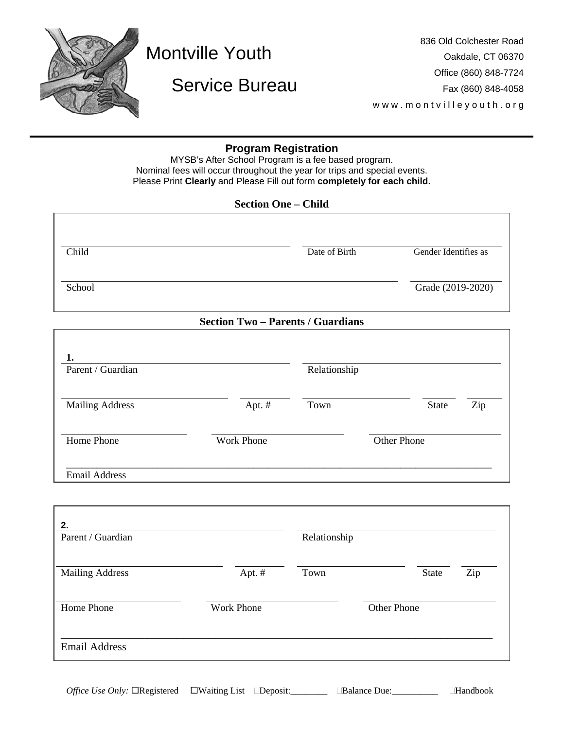

# Montville Youth

## Service Bureau

836 Old Colchester Road Oakdale, CT 06370 Office (860) 848-7724 Fax (860) 848-4058 www.montvilleyouth.org

### **Program Registration**

MYSB's After School Program is a fee based program. Nominal fees will occur throughout the year for trips and special events. Please Print **Clearly** and Please Fill out form **completely for each child.**

| <b>Section One - Child</b> |               |                      |  |
|----------------------------|---------------|----------------------|--|
|                            |               |                      |  |
| Child                      | Date of Birth | Gender Identifies as |  |
| School                     |               | Grade (2019-2020)    |  |
|                            |               |                      |  |

#### **Section Two – Parents / Guardians**

| Parent / Guardian      |                   | Relationship |                    |              |     |
|------------------------|-------------------|--------------|--------------------|--------------|-----|
| <b>Mailing Address</b> | Apt. $#$          | Town         |                    | <b>State</b> | Zip |
| Home Phone             | <b>Work Phone</b> |              | <b>Other Phone</b> |              |     |

| 2.<br>Parent / Guardian |                   | Relationship |             |       |     |
|-------------------------|-------------------|--------------|-------------|-------|-----|
| <b>Mailing Address</b>  | Apt. #            | Town         |             | State | Zip |
| Home Phone              | <b>Work Phone</b> |              | Other Phone |       |     |
| <b>Email Address</b>    |                   |              |             |       |     |

*Office Use Only:* □Registered □Waiting List □Deposit:\_\_\_\_\_\_\_\_ □Balance Due:\_\_\_\_\_\_\_\_\_ □Handbook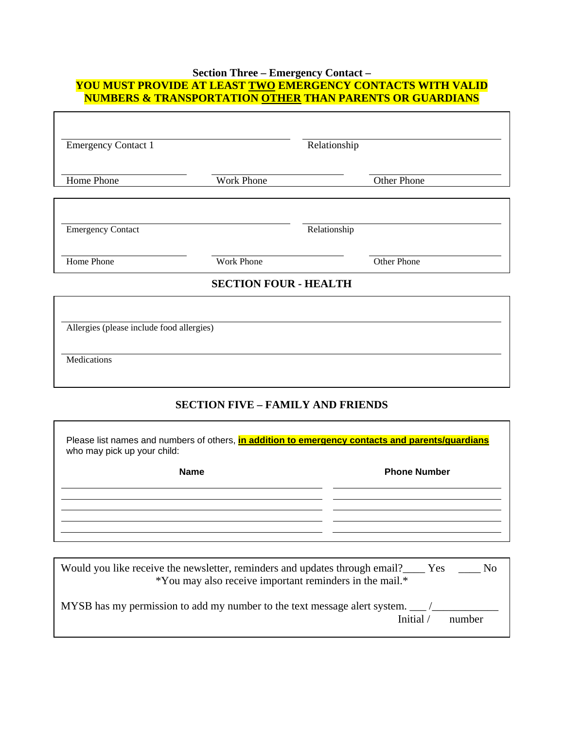### **Section Three – Emergency Contact – YOU MUST PROVIDE AT LEAST TWO EMERGENCY CONTACTS WITH VALID NUMBERS & TRANSPORTATION OTHER THAN PARENTS OR GUARDIANS**

| <b>Emergency Contact 1</b>                               |                                          | Relationship |
|----------------------------------------------------------|------------------------------------------|--------------|
| Home Phone                                               | Work Phone                               | Other Phone  |
| <b>Emergency Contact</b>                                 |                                          | Relationship |
| Home Phone                                               | Work Phone                               | Other Phone  |
|                                                          | <b>SECTION FOUR - HEALTH</b>             |              |
| Allergies (please include food allergies)<br>Medications |                                          |              |
|                                                          | <b>SECTION FIVE - FAMILY AND FRIENDS</b> |              |

| Please list names and numbers of others, in addition to emergency contacts and parents/guardians<br>who may pick up your child: |                     |  |
|---------------------------------------------------------------------------------------------------------------------------------|---------------------|--|
| <b>Name</b>                                                                                                                     | <b>Phone Number</b> |  |
|                                                                                                                                 |                     |  |
|                                                                                                                                 |                     |  |

| Would you like receive the newsletter, reminders and updates through email? Yes<br>N <sub>O</sub><br>*You may also receive important reminders in the mail.* |
|--------------------------------------------------------------------------------------------------------------------------------------------------------------|
| MYSB has my permission to add my number to the text message alert system. _______<br>Initial /<br>number                                                     |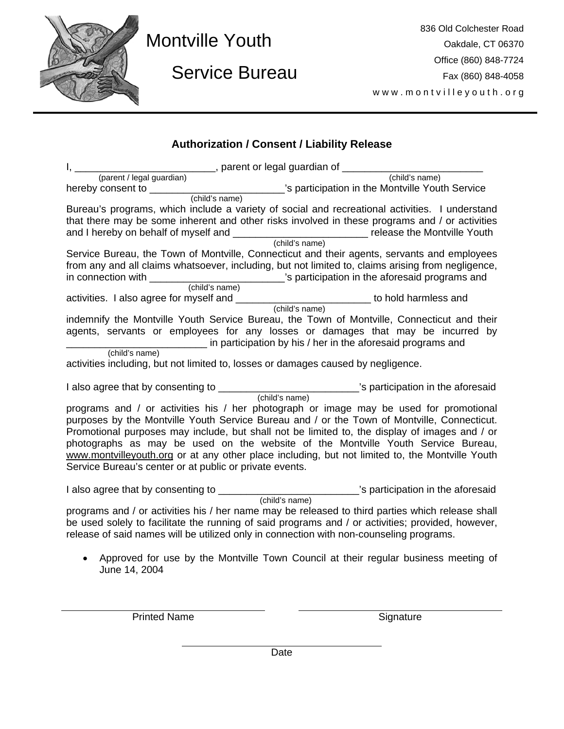

# Montville Youth

Service Bureau

836 Old Colchester Road Oakdale, CT 06370 Office (860) 848-7724 Fax (860) 848-4058 www.montvilleyouth.org

## **Authorization / Consent / Liability Release**

|                                                         | (parent / legal guardian) ________, parent or legal guardian of __________                                                                                                                                                                                                                                                                                                                                                                                                    |
|---------------------------------------------------------|-------------------------------------------------------------------------------------------------------------------------------------------------------------------------------------------------------------------------------------------------------------------------------------------------------------------------------------------------------------------------------------------------------------------------------------------------------------------------------|
|                                                         | (child's name)                                                                                                                                                                                                                                                                                                                                                                                                                                                                |
| hereby consent to ________<br>(child's name)            | s participation in the Montville Youth Service                                                                                                                                                                                                                                                                                                                                                                                                                                |
|                                                         | Bureau's programs, which include a variety of social and recreational activities. I understand<br>that there may be some inherent and other risks involved in these programs and / or activities<br>and I hereby on behalf of myself and _________________________________release the Montville Youth<br>(child's name)                                                                                                                                                       |
|                                                         | Service Bureau, the Town of Montville, Connecticut and their agents, servants and employees<br>from any and all claims whatsoever, including, but not limited to, claims arising from negligence,<br>in connection with ____________________________'s participation in the aforesaid programs and                                                                                                                                                                            |
| (child's name)                                          |                                                                                                                                                                                                                                                                                                                                                                                                                                                                               |
| activities. I also agree for myself and _______         | to hold harmless and                                                                                                                                                                                                                                                                                                                                                                                                                                                          |
| (child's name)                                          | (child's name)<br>indemnify the Montville Youth Service Bureau, the Town of Montville, Connecticut and their<br>agents, servants or employees for any losses or damages that may be incurred by<br>in participation by his / her in the aforesaid programs and                                                                                                                                                                                                                |
|                                                         | activities including, but not limited to, losses or damages caused by negligence.                                                                                                                                                                                                                                                                                                                                                                                             |
| I also agree that by consenting to _______              | (child's name)<br>Child's name)<br>Sparticipation in the aforesaid                                                                                                                                                                                                                                                                                                                                                                                                            |
| Service Bureau's center or at public or private events. | programs and / or activities his / her photograph or image may be used for promotional<br>purposes by the Montville Youth Service Bureau and / or the Town of Montville, Connecticut.<br>Promotional purposes may include, but shall not be limited to, the display of images and / or<br>photographs as may be used on the website of the Montville Youth Service Bureau,<br>www.montvilleyouth.org or at any other place including, but not limited to, the Montville Youth |
|                                                         | I also agree that by consenting to ______________________________'s participation in the aforesaid<br>(child's name)                                                                                                                                                                                                                                                                                                                                                          |
|                                                         | programs and / or activities his / her name may be released to third parties which release shall<br>be used solely to facilitate the running of said programs and / or activities; provided, however,<br>release of said names will be utilized only in connection with non-counseling programs.                                                                                                                                                                              |
| June 14, 2004                                           | Approved for use by the Montville Town Council at their regular business meeting of                                                                                                                                                                                                                                                                                                                                                                                           |

Printed Name Signature

Date